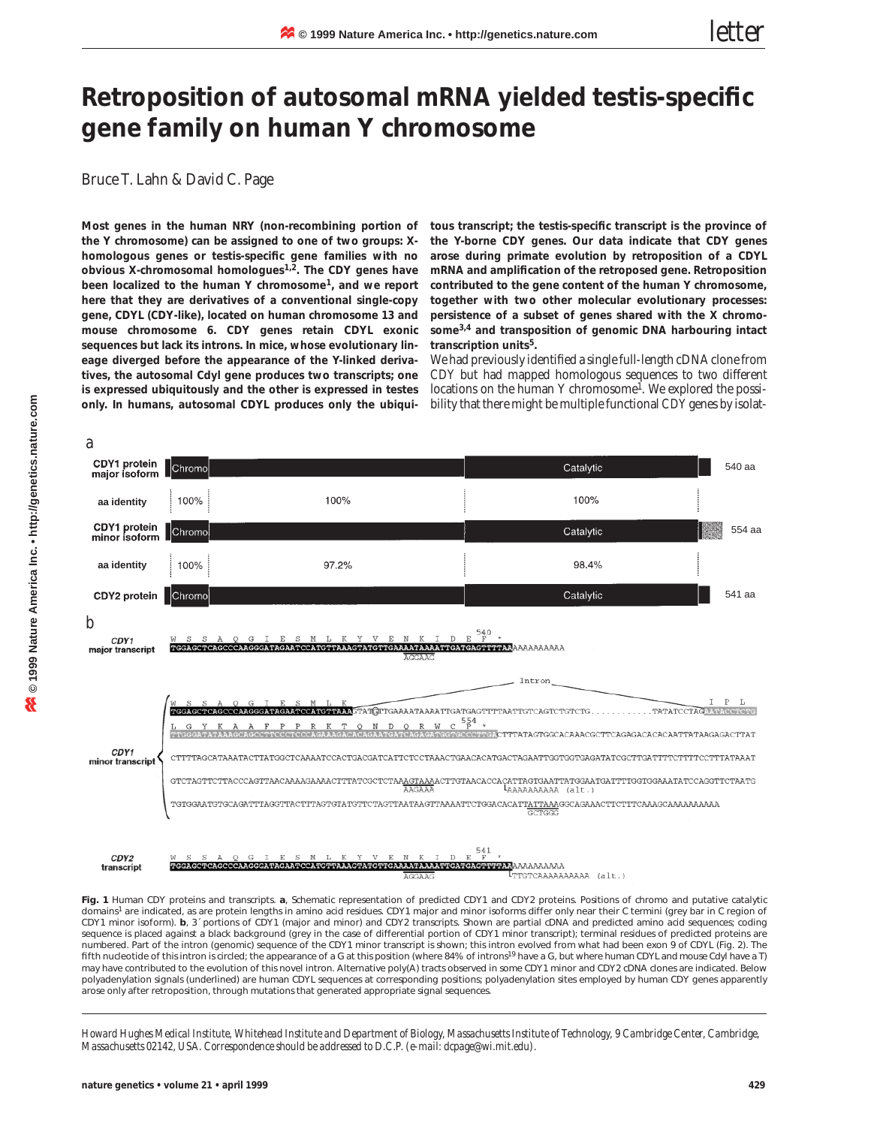## **Retroposition of autosomal mRNA yielded testis-specific gene family on human Y chromosome**

Bruce T. Lahn & David C. Page

**Most genes in the human NRY (non-recombining portion of the Y chromosome) can be assigned to one of two groups: Xhomologous genes or testis-specific gene families with no obvious X-chromosomal homologues1,2. The** *CDY* **genes have been localized to the human Y chromosome1, and we report here that they are derivatives of a conventional single-copy gene,** *CDYL* **(***CDY***-like), located on human chromosome 13 and mouse chromosome 6.** *CDY* **genes retain** *CDYL* **exonic sequences but lack its introns. In mice, whose evolutionary lineage diverged before the appearance of the Y-linked derivatives, the autosomal** *Cdyl* **gene produces two transcripts; one is expressed ubiquitously and the other is expressed in testes only. In humans, autosomal** *CDYL* **produces only the ubiqui-**

**tous transcript; the testis-specific transcript is the province of the Y-borne** *CDY* **genes. Our data indicate that** *CDY* **genes arose during primate evolution by retroposition of a** *CDYL* **mRNA and amplification of the retroposed gene. Retroposition contributed to the gene content of the human Y chromosome, together with two other molecular evolutionary processes: persistence of a subset of genes shared with the X chromosome3,4 and transposition of genomic DNA harbouring intact transcription units5.**

We had previously identified a single full-length cDNA clone from *CDY* but had mapped homologous sequences to two different locations on the human Y chromosome<sup>1</sup>. We explored the possibility that there might be multiple functional *CDY* genes by isolat-



**Fig. 1** Human CDY proteins and transcripts. *a*, Schematic representation of predicted CDY1 and CDY2 proteins. Positions of chromo and putative catalytic domains<sup>1</sup> are indicated, as are protein lengths in amino acid residues. CDY1 major and minor isoforms differ only near their C termini (grey bar in C region of CDY1 minor isoform). *b*, 3´ portions of *CDY1* (major and minor) and *CDY2* transcripts. Shown are partial cDNA and predicted amino acid sequences; coding sequence is placed against a black background (grey in the case of differential portion of *CDY1* minor transcript); terminal residues of predicted proteins are numbered. Part of the intron (genomic) sequence of the *CDY1* minor transcript is shown; this intron evolved from what had been exon 9 of *CDYL* (Fig. 2). The fifth nucleotide of this intron is circled; the appearance of a G at this position (where 84% of introns<sup>19</sup> have a G, but where human *CDYL* and mouse *Cdyl* have a T) may have contributed to the evolution of this novel intron. Alternative poly(A) tracts observed in some *CDY1* minor and *CDY2* cDNA clones are indicated. Below polyadenylation signals (underlined) are human *CDYL* sequences at corresponding positions; polyadenylation sites employed by human *CDY* genes apparently arose only after retroposition, through mutations that generated appropriate signal sequences.

*Howard Hughes Medical Institute, Whitehead Institute and Department of Biology, Massachusetts Institute of Technology, 9 Cambridge Center, Cambridge, Massachusetts 02142, USA. Correspondence should be addressed to D.C.P. (e-mail: dcpage@wi.mit.edu).*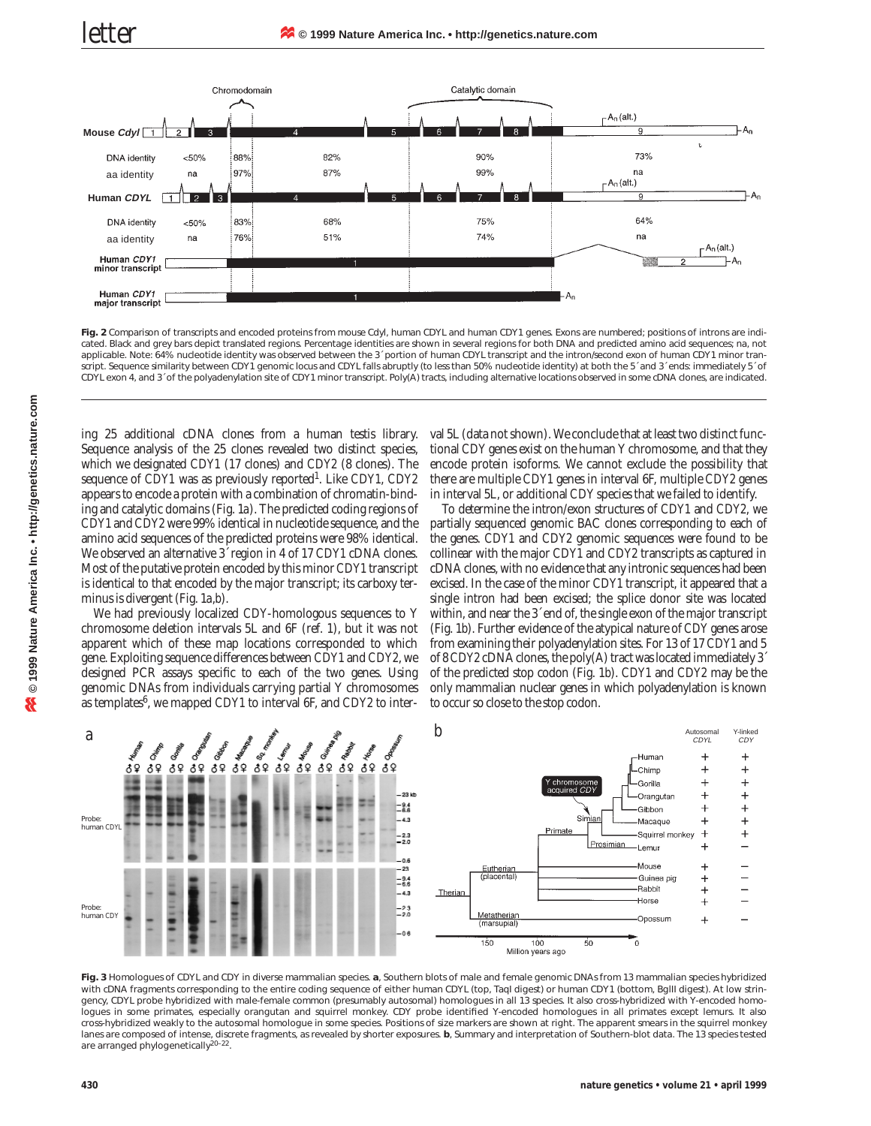

**Fig. 2** Comparison of transcripts and encoded proteins from mouse *Cdyl*, human *CDYL* and human *CDY1* genes. Exons are numbered; positions of introns are indicated. Black and grey bars depict translated regions. Percentage identities are shown in several regions for both DNA and predicted amino acid sequences; na, not applicable. Note: 64% nucleotide identity was observed between the 3´ portion of human *CDYL* transcript and the intron/second exon of human *CDY1* minor transcript. Sequence similarity between *CDY1* genomic locus and *CDYL* falls abruptly (to less than 50% nucleotide identity) at both the 5´ and 3´ ends: immediately 5´ of *CDYL* exon 4, and 3´ of the polyadenylation site of *CDY1* minor transcript. Poly(A) tracts, including alternative locations observed in some cDNA clones, are indicated.

ing 25 additional cDNA clones from a human testis library. Sequence analysis of the 25 clones revealed two distinct species, which we designated *CDY1* (17 clones) and *CDY2* (8 clones). The sequence of *CDY1* was as previously reported1. Like *CDY1*, *CDY2* appears to encode a protein with a combination of chromatin-binding and catalytic domains (Fig. 1*a*). The predicted coding regions of *CDY1* and *CDY2*were 99% identical in nucleotide sequence, and the amino acid sequences of the predicted proteins were 98% identical. We observed an alternative 3´ region in 4 of 17 *CDY1* cDNA clones. Most of the putative protein encoded by this minor *CDY1* transcript is identical to that encoded by the major transcript; its carboxy terminus is divergent (Fig. 1*a*,*b*).

We had previously localized *CDY*-homologous sequences to Y chromosome deletion intervals 5L and 6F (ref. 1), but it was not apparent which of these map locations corresponded to which gene. Exploiting sequence differences between *CDY1* and *CDY2*, we designed PCR assays specific to each of the two genes. Using genomic DNAs from individuals carrying partial Y chromosomes as templates<sup>6</sup>, we mapped *CDY1* to interval 6F, and *CDY2* to interval 5L (data not shown). We conclude that at least two distinct functional *CDY* genes exist on the human Y chromosome, and that they encode protein isoforms. We cannot exclude the possibility that there are multiple *CDY1* genes in interval 6F, multiple *CDY2* genes in interval 5L, or additional *CDY* species that we failed to identify.

To determine the intron/exon structures of *CDY1* and *CDY2*, we partially sequenced genomic BAC clones corresponding to each of the genes. *CDY1* and *CDY2* genomic sequences were found to be collinear with the major *CDY1* and *CDY2* transcripts as captured in cDNA clones, with no evidence that any intronic sequences had been excised. In the case of the minor *CDY1* transcript, it appeared that a single intron had been excised; the splice donor site was located within, and near the 3´ end of, the single exon of the major transcript (Fig. 1*b*). Further evidence of the atypical nature of *CDY* genes arose from examining their polyadenylation sites. For 13 of 17 *CDY1* and 5 of 8 *CDY2* cDNA clones, the poly(A) tract was located immediately 3´ of the predicted stop codon (Fig. 1*b*). *CDY1* and *CDY2* may be the only mammalian nuclear genes in which polyadenylation is known to occur so close to the stop codon.



**Fig. 3** Homologues of *CDYL* and *CDY* in diverse mammalian species. *a*, Southern blots of male and female genomic DNAs from 13 mammalian species hybridized with cDNA fragments corresponding to the entire coding sequence of either human *CDYL* (top, *Taq*I digest) or human *CDY1* (bottom, *Bgl*II digest). At low stringency, CDYL probe hybridized with male-female common (presumably autosomal) homologues in all 13 species. It also cross-hybridized with Y-encoded homologues in some primates, especially orangutan and squirrel monkey. *CDY* probe identified Y-encoded homologues in all primates except lemurs. It also cross-hybridized weakly to the autosomal homologue in some species. Positions of size markers are shown at right. The apparent smears in the squirrel monkey lanes are composed of intense, discrete fragments, as revealed by shorter exposures. *b*, Summary and interpretation of Southern-blot data. The 13 species tested are arranged phylogenetically<sup>20-22</sup>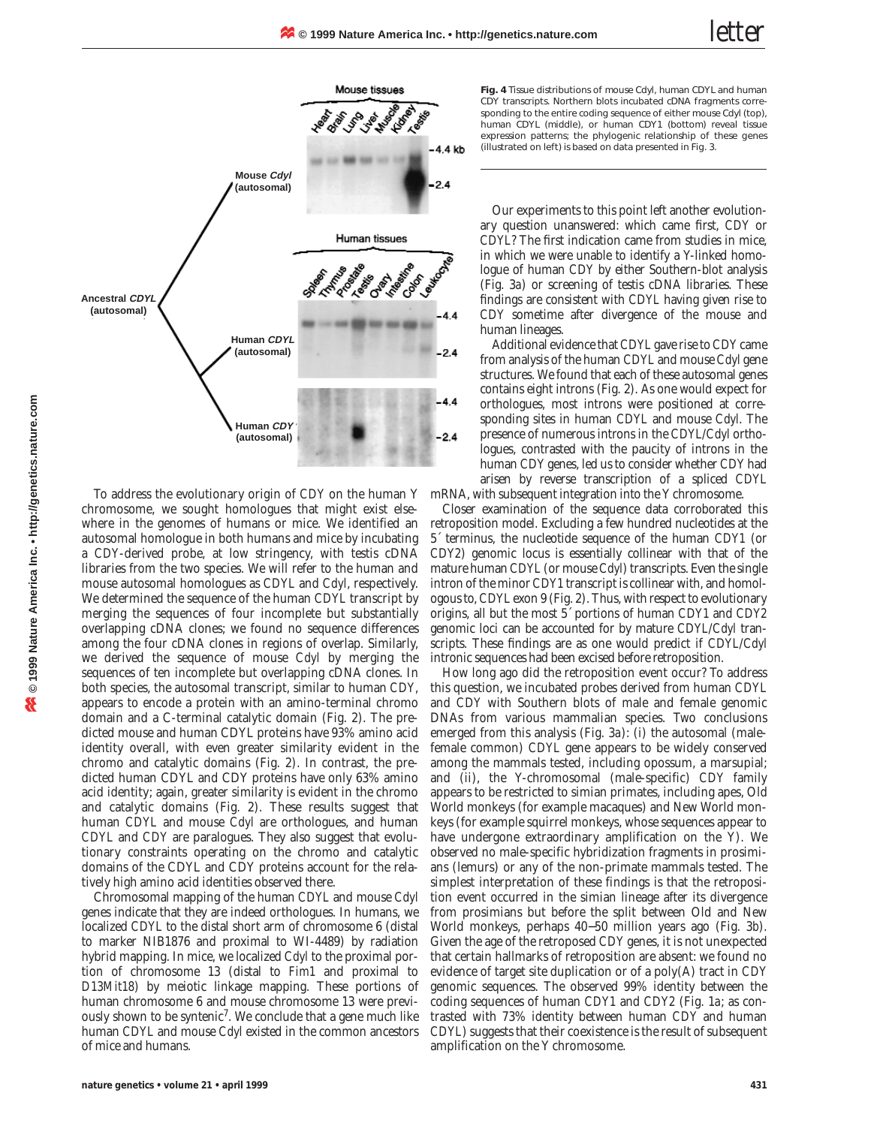

To address the evolutionary origin of *CDY* on the human Y chromosome, we sought homologues that might exist elsewhere in the genomes of humans or mice. We identified an autosomal homologue in both humans and mice by incubating a *CDY*-derived probe, at low stringency, with testis cDNA libraries from the two species. We will refer to the human and mouse autosomal homologues as *CDYL* and *Cdyl*, respectively. We determined the sequence of the human *CDYL* transcript by merging the sequences of four incomplete but substantially overlapping cDNA clones; we found no sequence differences among the four cDNA clones in regions of overlap. Similarly, we derived the sequence of mouse *Cdyl* by merging the sequences of ten incomplete but overlapping cDNA clones. In both species, the autosomal transcript, similar to human *CDY*, appears to encode a protein with an amino-terminal chromo domain and a C-terminal catalytic domain (Fig. 2). The predicted mouse and human CDYL proteins have 93% amino acid identity overall, with even greater similarity evident in the chromo and catalytic domains (Fig. 2). In contrast, the predicted human CDYL and CDY proteins have only 63% amino acid identity; again, greater similarity is evident in the chromo and catalytic domains (Fig. 2). These results suggest that human *CDYL* and mouse *Cdyl* are orthologues, and human *CDYL* and *CDY* are paralogues. They also suggest that evolutionary constraints operating on the chromo and catalytic domains of the CDYL and CDY proteins account for the relatively high amino acid identities observed there.

Chromosomal mapping of the human *CDYL* and mouse *Cdyl* genes indicate that they are indeed orthologues. In humans, we localized *CDYL* to the distal short arm of chromosome 6 (distal to marker NIB1876 and proximal to WI-4489) by radiation hybrid mapping. In mice, we localized *Cdyl* to the proximal portion of chromosome 13 (distal to *Fim1* and proximal to *D13Mit18*) by meiotic linkage mapping. These portions of human chromosome 6 and mouse chromosome 13 were previously shown to be syntenic<sup>7</sup>. We conclude that a gene much like human *CDYL* and mouse *Cdyl* existed in the common ancestors of mice and humans.

**Fig. 4** Tissue distributions of mouse *Cdyl*, human *CDYL* and human *CDY* transcripts. Northern blots incubated cDNA fragments corresponding to the entire coding sequence of either mouse *Cdyl* (top), human *CDYL* (middle), or human *CDY1* (bottom) reveal tissue expression patterns; the phylogenic relationship of these genes (illustrated on left) is based on data presented in Fig. 3.

Our experiments to this point left another evolutionary question unanswered: which came first, *CDY* or *CDYL*? The first indication came from studies in mice, in which we were unable to identify a Y-linked homologue of human *CDY* by either Southern-blot analysis (Fig. 3*a*) or screening of testis cDNA libraries. These findings are consistent with *CDYL* having given rise to *CDY* sometime after divergence of the mouse and human lineages.

Additional evidence that *CDYL* gave rise to *CDY* came from analysis of the human *CDYL* and mouse *Cdyl* gene structures. We found that each of these autosomal genes contains eight introns (Fig. 2). As one would expect for orthologues, most introns were positioned at corresponding sites in human *CDYL* and mouse *Cdyl*. The presence of numerous introns in the *CDYL*/*Cdyl* orthologues, contrasted with the paucity of introns in the human *CDY* genes, led us to consider whether *CDY* had arisen by reverse transcription of a spliced *CDYL* mRNA, with subsequent integration into the Y chromosome.

Closer examination of the sequence data corroborated this retroposition model. Excluding a few hundred nucleotides at the 5´ terminus, the nucleotide sequence of the human *CDY1* (or *CDY2*) genomic locus is essentially collinear with that of the mature human *CDYL* (or mouse *Cdyl*) transcripts. Even the single intron of the minor *CDY1* transcript is collinear with, and homologous to, *CDYL* exon 9 (Fig. 2). Thus, with respect to evolutionary origins, all but the most 5´ portions of human *CDY1* and *CDY2* genomic loci can be accounted for by mature *CDYL*/*Cdyl* transcripts. These findings are as one would predict if *CDYL*/*Cdyl* intronic sequences had been excised before retroposition.

How long ago did the retroposition event occur? To address this question, we incubated probes derived from human *CDYL* and *CDY* with Southern blots of male and female genomic DNAs from various mammalian species. Two conclusions emerged from this analysis (Fig. 3*a*): (i) the autosomal (malefemale common) *CDYL* gene appears to be widely conserved among the mammals tested, including opossum, a marsupial; and (ii), the Y-chromosomal (male-specific) *CDY* family appears to be restricted to simian primates, including apes, Old World monkeys (for example macaques) and New World monkeys (for example squirrel monkeys, whose sequences appear to have undergone extraordinary amplification on the Y). We observed no male-specific hybridization fragments in prosimians (lemurs) or any of the non-primate mammals tested. The simplest interpretation of these findings is that the retroposition event occurred in the simian lineage after its divergence from prosimians but before the split between Old and New World monkeys, perhaps 40−50 million years ago (Fig. 3*b*). Given the age of the retroposed *CDY* genes, it is not unexpected that certain hallmarks of retroposition are absent: we found no evidence of target site duplication or of a poly(A) tract in *CDY* genomic sequences. The observed 99% identity between the coding sequences of human *CDY1* and *CDY2* (Fig. 1*a*; as contrasted with 73% identity between human *CDY* and human *CDYL*) suggests that their coexistence is the result of subsequent amplification on the Y chromosome.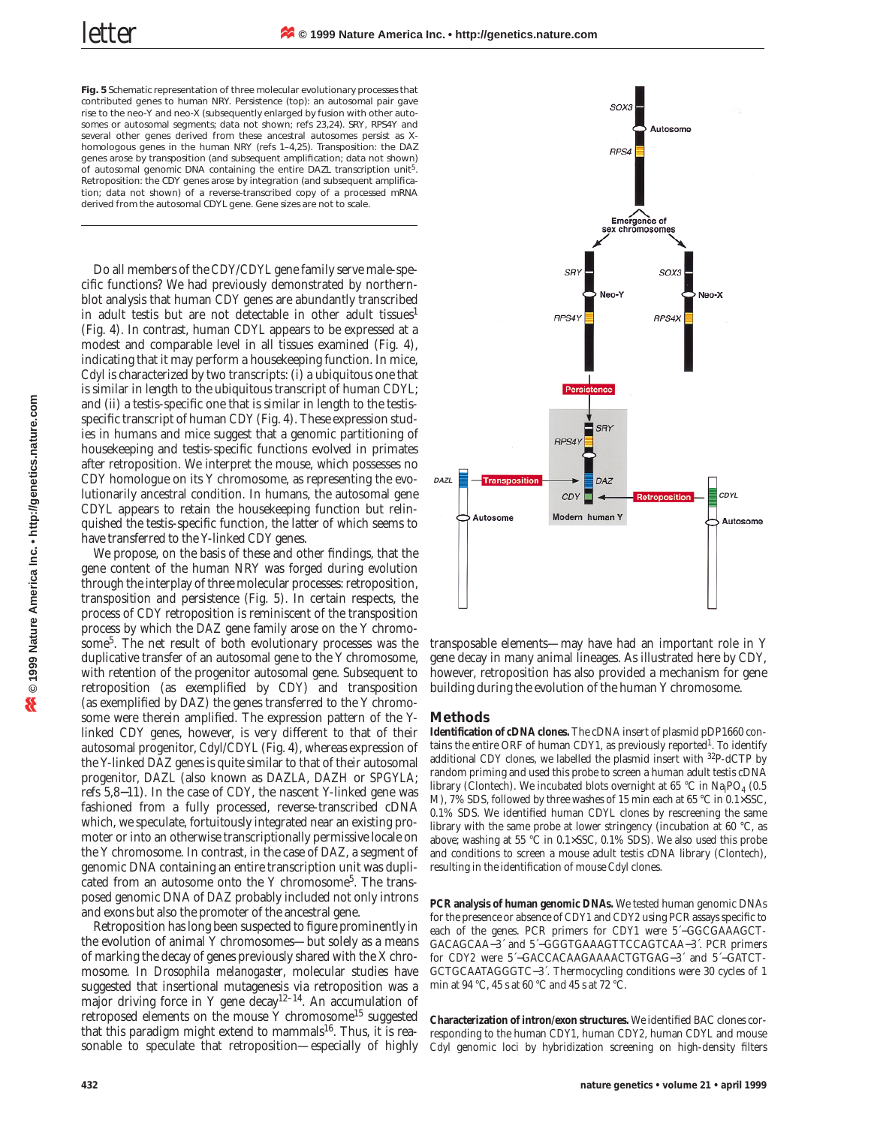**Fig. 5** Schematic representation of three molecular evolutionary processes that contributed genes to human NRY. Persistence (top): an autosomal pair gave rise to the neo-Y and neo-X (subsequently enlarged by fusion with other autosomes or autosomal segments; data not shown; refs 23,24). *SRY*, *RPS4Y* and several other genes derived from these ancestral autosomes persist as Xhomologous genes in the human NRY (refs 1–4,25). Transposition: the *DAZ* genes arose by transposition (and subsequent amplification; data not shown) of autosomal genomic DNA containing the entire *DAZL* transcription unit5. Retroposition: the *CDY* genes arose by integration (and subsequent amplification; data not shown) of a reverse-transcribed copy of a processed mRNA derived from the autosomal *CDYL* gene. Gene sizes are not to scale.

Do all members of the *CDY*/*CDYL* gene family serve male-specific functions? We had previously demonstrated by northernblot analysis that human *CDY* genes are abundantly transcribed in adult testis but are not detectable in other adult tissues<sup>1</sup> (Fig. 4). In contrast, human *CDYL* appears to be expressed at a modest and comparable level in all tissues examined (Fig. 4), indicating that it may perform a housekeeping function. In mice, *Cdyl* is characterized by two transcripts: (i) a ubiquitous one that is similar in length to the ubiquitous transcript of human *CDYL*; and (ii) a testis-specific one that is similar in length to the testisspecific transcript of human *CDY* (Fig. 4). These expression studies in humans and mice suggest that a genomic partitioning of housekeeping and testis-specific functions evolved in primates after retroposition. We interpret the mouse, which possesses no *CDY* homologue on its Y chromosome, as representing the evolutionarily ancestral condition. In humans, the autosomal gene *CDYL* appears to retain the housekeeping function but relinquished the testis-specific function, the latter of which seems to have transferred to the Y-linked *CDY* genes.

We propose, on the basis of these and other findings, that the gene content of the human NRY was forged during evolution through the interplay of three molecular processes: retroposition, transposition and persistence (Fig. 5). In certain respects, the process of *CDY* retroposition is reminiscent of the transposition process by which the *DAZ* gene family arose on the Y chromosome<sup>5</sup>. The net result of both evolutionary processes was the duplicative transfer of an autosomal gene to the Y chromosome, with retention of the progenitor autosomal gene. Subsequent to retroposition (as exemplified by *CDY*) and transposition (as exemplified by *DAZ*) the genes transferred to the Y chromosome were therein amplified. The expression pattern of the Ylinked *CDY* genes, however, is very different to that of their autosomal progenitor, *Cdyl/CDYL* (Fig. 4), whereas expression of the Y-linked *DAZ* genes is quite similar to that of their autosomal progenitor, *DAZL* (also known as *DAZLA*, *DAZH* or *SPGYLA*; refs 5,8−11). In the case of *CDY*, the nascent Y-linked gene was fashioned from a fully processed, reverse-transcribed cDNA which, we speculate, fortuitously integrated near an existing promoter or into an otherwise transcriptionally permissive locale on the Y chromosome. In contrast, in the case of *DAZ*, a segment of genomic DNA containing an entire transcription unit was duplicated from an autosome onto the Y chromosome<sup>5</sup>. The transposed genomic DNA of *DAZ* probably included not only introns and exons but also the promoter of the ancestral gene.

Retroposition has long been suspected to figure prominently in the evolution of animal Y chromosomes—but solely as a means of marking the decay of genes previously shared with the X chromosome. In *Drosophila melanogaster*, molecular studies have suggested that insertional mutagenesis via retroposition was a major driving force in Y gene decay<sup>12-14</sup>. An accumulation of retroposed elements on the mouse Y chromosome<sup>15</sup> suggested that this paradigm might extend to mammals<sup>16</sup>. Thus, it is reasonable to speculate that retroposition—especially of highly



transposable elements—may have had an important role in Y gene decay in many animal lineages. As illustrated here by *CDY*, however, retroposition has also provided a mechanism for gene building during the evolution of the human Y chromosome.

## **Methods**

**Identification of cDNA clones.** The cDNA insert of plasmid pDP1660 contains the entire ORF of human *CDY1*, as previously reported<sup>1</sup>. To identify additional *CDY* clones, we labelled the plasmid insert with 32P-dCTP by random priming and used this probe to screen a human adult testis cDNA library (Clontech). We incubated blots overnight at 65 °C in  $\text{Na}_\text{i}\text{PO}_4$  (0.5 M), 7% SDS, followed by three washes of 15 min each at 65 °C in 0.1×SSC, 0.1% SDS. We identified human *CDYL* clones by rescreening the same library with the same probe at lower stringency (incubation at 60 °C, as above; washing at 55 °C in 0.1×SSC, 0.1% SDS). We also used this probe and conditions to screen a mouse adult testis cDNA library (Clontech), resulting in the identification of mouse *Cdyl* clones.

**PCR analysis of human genomic DNAs.** We tested human genomic DNAs for the presence or absence of *CDY1* and *CDY2* using PCR assays specific to each of the genes. PCR primers for *CDY1* were 5´−GGCGAAAGCT-GACAGCAA−3´ and 5´−GGGTGAAAGTTCCAGTCAA−3´. PCR primers for *CDY2* were 5´−GACCACAAGAAAACTGTGAG−3´ and 5´−GATCT-GCTGCAATAGGGTC−3´. Thermocycling conditions were 30 cycles of 1 min at 94 °C, 45 s at 60 °C and 45 s at 72 °C.

**Characterization of intron/exon structures.** We identified BAC clones corresponding to the human *CDY1*, human *CDY2*, human *CDYL* and mouse *Cdyl* genomic loci by hybridization screening on high-density filters